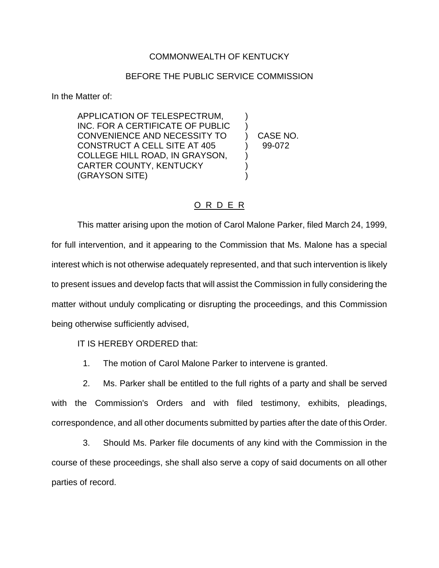## COMMONWEALTH OF KENTUCKY

## BEFORE THE PUBLIC SERVICE COMMISSION

In the Matter of:

APPLICATION OF TELESPECTRUM, INC. FOR A CERTIFICATE OF PUBLIC CONVENIENCE AND NECESSITY TO ) CASE NO. CONSTRUCT A CELL SITE AT 405 (99-072 COLLEGE HILL ROAD, IN GRAYSON, CARTER COUNTY, KENTUCKY (1998) (GRAYSON SITE) )

## O R D E R

This matter arising upon the motion of Carol Malone Parker, filed March 24, 1999, for full intervention, and it appearing to the Commission that Ms. Malone has a special interest which is not otherwise adequately represented, and that such intervention is likely to present issues and develop facts that will assist the Commission in fully considering the matter without unduly complicating or disrupting the proceedings, and this Commission being otherwise sufficiently advised,

## IT IS HEREBY ORDERED that:

1. The motion of Carol Malone Parker to intervene is granted.

2. Ms. Parker shall be entitled to the full rights of a party and shall be served with the Commission's Orders and with filed testimony, exhibits, pleadings, correspondence, and all other documents submitted by parties after the date of this Order.

3. Should Ms. Parker file documents of any kind with the Commission in the course of these proceedings, she shall also serve a copy of said documents on all other parties of record.